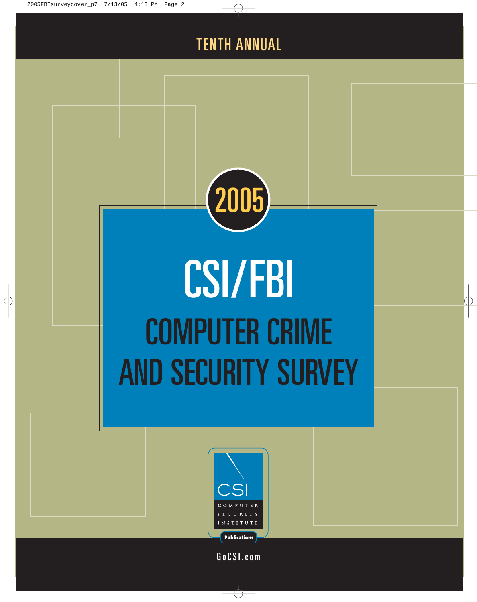#### TENTH ANNUAL



# CSI/FBI COMPUTER CRIME AND SECURITY SURVEY



GoCSI.com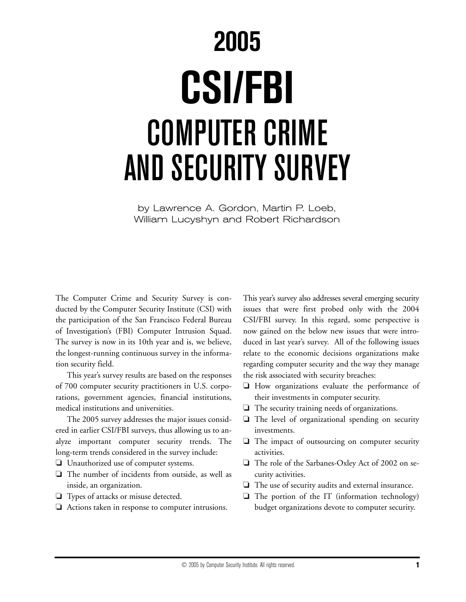## **2005 CSI/FBI** COMPUTER CRIME AND SECURITY SURVEY

by Lawrence A. Gordon, Martin P. Loeb, William Lucyshyn and Robert Richardson

The Computer Crime and Security Survey is conducted by the Computer Security Institute (CSI) with the participation of the San Francisco Federal Bureau of Investigation's (FBI) Computer Intrusion Squad. The survey is now in its 10th year and is, we believe, the longest-running continuous survey in the information security field.

This year's survey results are based on the responses of 700 computer security practitioners in U.S. corporations, government agencies, financial institutions, medical institutions and universities.

The 2005 survey addresses the major issues considered in earlier CSI/FBI surveys, thus allowing us to analyze important computer security trends. The long-term trends considered in the survey include:

- ❏ Unauthorized use of computer systems.
- ❏ The number of incidents from outside, as well as inside, an organization.
- ❏ Types of attacks or misuse detected.
- ❏ Actions taken in response to computer intrusions.

This year's survey also addresses several emerging security issues that were first probed only with the 2004 CSI/FBI survey. In this regard, some perspective is now gained on the below new issues that were introduced in last year's survey. All of the following issues relate to the economic decisions organizations make regarding computer security and the way they manage the risk associated with security breaches:

- ❏ How organizations evaluate the performance of their investments in computer security.
- ❏ The security training needs of organizations.
- ❏ The level of organizational spending on security investments.
- ❏ The impact of outsourcing on computer security activities.
- ❏ The role of the Sarbanes-Oxley Act of 2002 on security activities.
- ❏ The use of security audits and external insurance.
- ❏ The portion of the IT (information technology) budget organizations devote to computer security.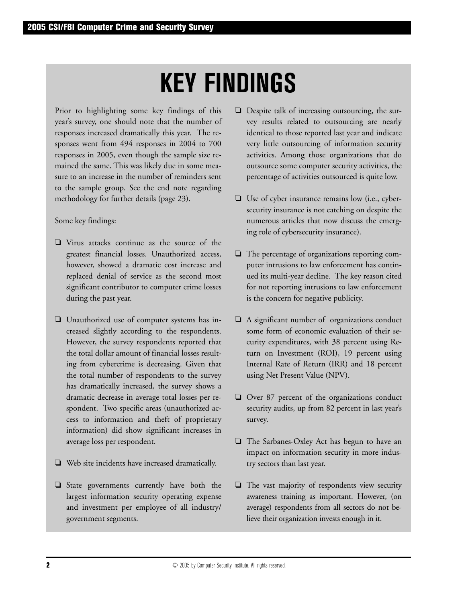## **KEY FINDINGS**

Prior to highlighting some key findings of this year's survey, one should note that the number of responses increased dramatically this year. The responses went from 494 responses in 2004 to 700 responses in 2005, even though the sample size remained the same. This was likely due in some measure to an increase in the number of reminders sent to the sample group. See the end note regarding methodology for further details (page 23).

Some key findings:

- ❏ Virus attacks continue as the source of the greatest financial losses. Unauthorized access, however, showed a dramatic cost increase and replaced denial of service as the second most significant contributor to computer crime losses during the past year.
- ❏ Unauthorized use of computer systems has increased slightly according to the respondents. However, the survey respondents reported that the total dollar amount of financial losses resulting from cybercrime is decreasing. Given that the total number of respondents to the survey has dramatically increased, the survey shows a dramatic decrease in average total losses per respondent. Two specific areas (unauthorized access to information and theft of proprietary information) did show significant increases in average loss per respondent.
- ❏ Web site incidents have increased dramatically.
- ❏ State governments currently have both the largest information security operating expense and investment per employee of all industry/ government segments.
- ❏ Despite talk of increasing outsourcing, the survey results related to outsourcing are nearly identical to those reported last year and indicate very little outsourcing of information security activities. Among those organizations that do outsource some computer security activities, the percentage of activities outsourced is quite low.
- ❏ Use of cyber insurance remains low (i.e., cybersecurity insurance is not catching on despite the numerous articles that now discuss the emerging role of cybersecurity insurance).
- ❏ The percentage of organizations reporting computer intrusions to law enforcement has continued its multi-year decline. The key reason cited for not reporting intrusions to law enforcement is the concern for negative publicity.
- ❏ A significant number of organizations conduct some form of economic evaluation of their security expenditures, with 38 percent using Return on Investment (ROI), 19 percent using Internal Rate of Return (IRR) and 18 percent using Net Present Value (NPV).
- ❏ Over 87 percent of the organizations conduct security audits, up from 82 percent in last year's survey.
- ❏ The Sarbanes-Oxley Act has begun to have an impact on information security in more industry sectors than last year.
- ❏ The vast majority of respondents view security awareness training as important. However, (on average) respondents from all sectors do not believe their organization invests enough in it.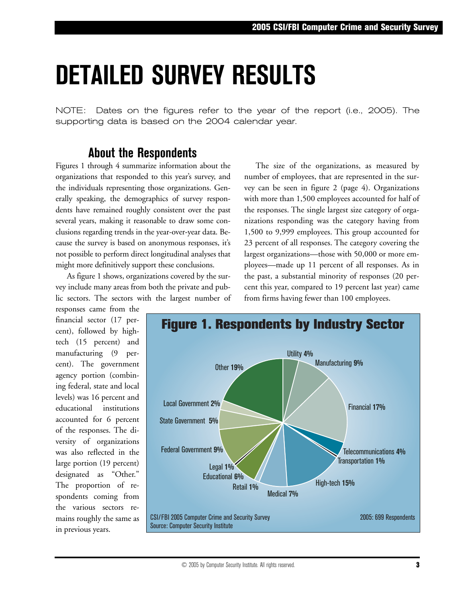## **DETAILED SURVEY RESULTS**

NOTE: Dates on the figures refer to the year of the report (i.e., 2005). The supporting data is based on the 2004 calendar year.

#### **About the Respondents**

Figures 1 through 4 summarize information about the organizations that responded to this year's survey, and the individuals representing those organizations. Generally speaking, the demographics of survey respondents have remained roughly consistent over the past several years, making it reasonable to draw some conclusions regarding trends in the year-over-year data. Because the survey is based on anonymous responses, it's not possible to perform direct longitudinal analyses that might more definitively support these conclusions.

As figure 1 shows, organizations covered by the survey include many areas from both the private and public sectors. The sectors with the largest number of

responses came from the financial sector (17 percent), followed by hightech (15 percent) and manufacturing (9 percent). The government agency portion (combining federal, state and local levels) was 16 percent and educational institutions accounted for 6 percent of the responses. The diversity of organizations was also reflected in the large portion (19 percent) designated as "Other." The proportion of respondents coming from the various sectors remains roughly the same as in previous years.

The size of the organizations, as measured by number of employees, that are represented in the survey can be seen in figure 2 (page 4). Organizations with more than 1,500 employees accounted for half of the responses. The single largest size category of organizations responding was the category having from 1,500 to 9,999 employees. This group accounted for 23 percent of all responses. The category covering the largest organizations—those with 50,000 or more employees—made up 11 percent of all responses. As in the past, a substantial minority of responses (20 percent this year, compared to 19 percent last year) came from firms having fewer than 100 employees.

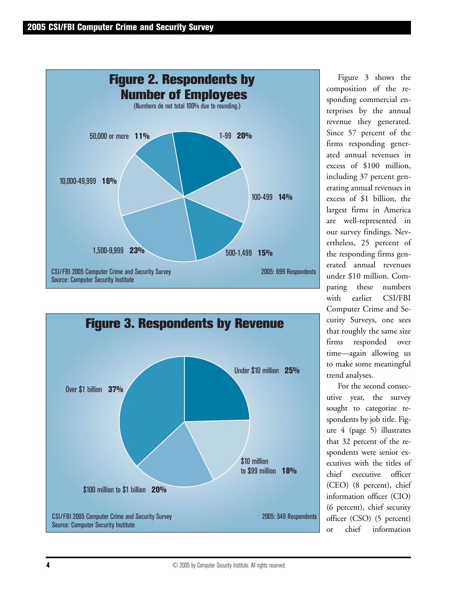



Figure 3 shows the composition of the responding commercial enterprises by the annual revenue they generated. Since 57 percent of the firms responding generated annual revenues in excess of \$100 million, including 37 percent generating annual revenues in excess of \$1 billion, the largest firms in America are well-represented in our survey findings. Nevertheless, 25 percent of the responding firms generated annual revenues under \$10 million. Comparing these numbers with earlier CSI/FBI Computer Crime and Security Surveys, one sees that roughly the same size firms responded over time—again allowing us to make some meaningful trend analyses.

For the second consecutive year, the survey sought to categorize respondents by job title. Figure 4 (page 5) illustrates that 32 percent of the respondents were senior executives with the titles of chief executive officer (CEO) (8 percent), chief information officer (CIO) (6 percent), chief security officer (CSO) (5 percent) or chief information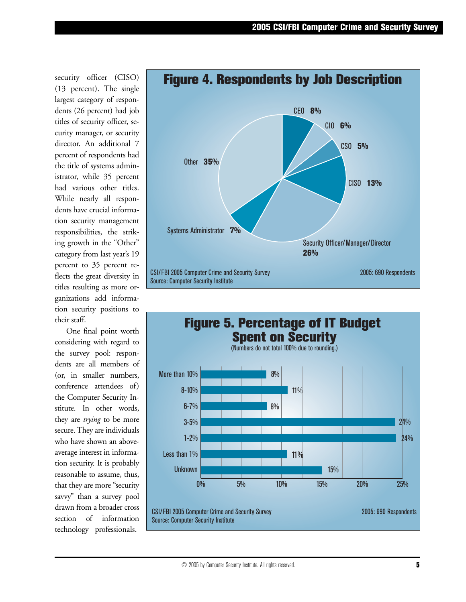security officer (CISO) (13 percent). The single largest category of respondents (26 percent) had job titles of security officer, security manager, or security director. An additional 7 percent of respondents had the title of systems administrator, while 35 percent had various other titles. While nearly all respondents have crucial information security management responsibilities, the striking growth in the "Other" category from last year's 19 percent to 35 percent reflects the great diversity in titles resulting as more organizations add information security positions to their staff.

One final point worth considering with regard to the survey pool: respondents are all members of (or, in smaller numbers, conference attendees of) the Computer Security Institute. In other words, they are *trying* to be more secure. They are individuals who have shown an aboveaverage interest in information security. It is probably reasonable to assume, thus, that they are more "security savvy" than a survey pool drawn from a broader cross section of information technology professionals.





#### **Figure 4. Respondents by Job Description**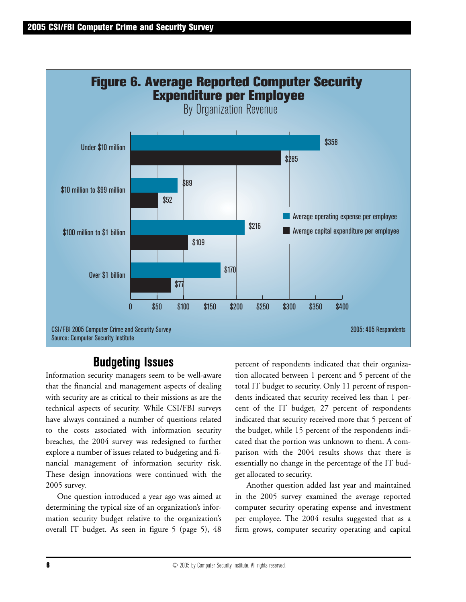

#### **Budgeting Issues**

Information security managers seem to be well-aware that the financial and management aspects of dealing with security are as critical to their missions as are the technical aspects of security. While CSI/FBI surveys have always contained a number of questions related to the costs associated with information security breaches, the 2004 survey was redesigned to further explore a number of issues related to budgeting and financial management of information security risk. These design innovations were continued with the 2005 survey.

One question introduced a year ago was aimed at determining the typical size of an organization's information security budget relative to the organization's overall IT budget. As seen in figure 5 (page 5), 48

percent of respondents indicated that their organization allocated between 1 percent and 5 percent of the total IT budget to security. Only 11 percent of respondents indicated that security received less than 1 percent of the IT budget, 27 percent of respondents indicated that security received more that 5 percent of the budget, while 15 percent of the respondents indicated that the portion was unknown to them. A comparison with the 2004 results shows that there is essentially no change in the percentage of the IT budget allocated to security.

Another question added last year and maintained in the 2005 survey examined the average reported computer security operating expense and investment per employee. The 2004 results suggested that as a firm grows, computer security operating and capital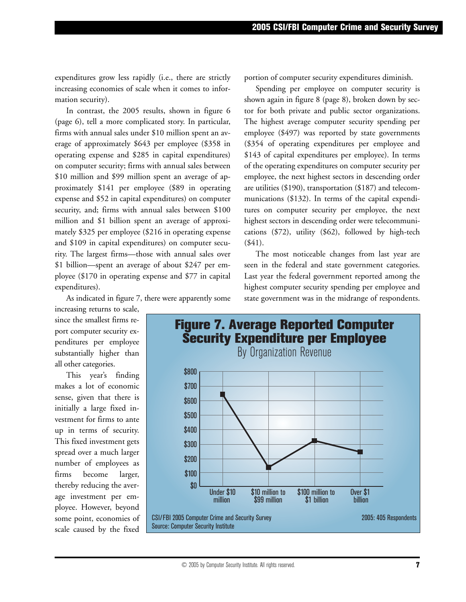expenditures grow less rapidly (i.e., there are strictly increasing economies of scale when it comes to information security).

In contrast, the 2005 results, shown in figure 6 (page 6), tell a more complicated story. In particular, firms with annual sales under \$10 million spent an average of approximately \$643 per employee (\$358 in operating expense and \$285 in capital expenditures) on computer security; firms with annual sales between \$10 million and \$99 million spent an average of approximately \$141 per employee (\$89 in operating expense and \$52 in capital expenditures) on computer security, and; firms with annual sales between \$100 million and \$1 billion spent an average of approximately \$325 per employee (\$216 in operating expense and \$109 in capital expenditures) on computer security. The largest firms—those with annual sales over \$1 billion—spent an average of about \$247 per employee (\$170 in operating expense and \$77 in capital expenditures).

As indicated in figure 7, there were apparently some

increasing returns to scale, since the smallest firms report computer security expenditures per employee substantially higher than all other categories.

This year's finding makes a lot of economic sense, given that there is initially a large fixed investment for firms to ante up in terms of security. This fixed investment gets spread over a much larger number of employees as firms become larger, thereby reducing the average investment per employee. However, beyond some point, economies of scale caused by the fixed

portion of computer security expenditures diminish.

Spending per employee on computer security is shown again in figure 8 (page 8), broken down by sector for both private and public sector organizations. The highest average computer security spending per employee (\$497) was reported by state governments (\$354 of operating expenditures per employee and \$143 of capital expenditures per employee). In terms of the operating expenditures on computer security per employee, the next highest sectors in descending order are utilities (\$190), transportation (\$187) and telecommunications (\$132). In terms of the capital expenditures on computer security per employee, the next highest sectors in descending order were telecommunications (\$72), utility (\$62), followed by high-tech (\$41).

The most noticeable changes from last year are seen in the federal and state government categories. Last year the federal government reported among the highest computer security spending per employee and state government was in the midrange of respondents.

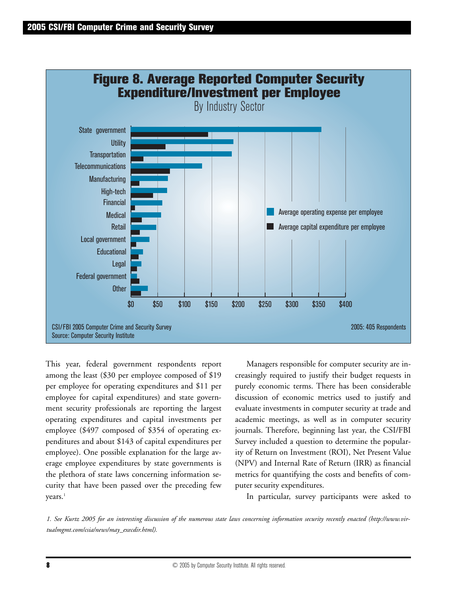

This year, federal government respondents report among the least (\$30 per employee composed of \$19 per employee for operating expenditures and \$11 per employee for capital expenditures) and state government security professionals are reporting the largest operating expenditures and capital investments per employee (\$497 composed of \$354 of operating expenditures and about \$143 of capital expenditures per employee). One possible explanation for the large average employee expenditures by state governments is the plethora of state laws concerning information security that have been passed over the preceding few years.<sup>1</sup>

Managers responsible for computer security are increasingly required to justify their budget requests in purely economic terms. There has been considerable discussion of economic metrics used to justify and evaluate investments in computer security at trade and academic meetings, as well as in computer security journals. Therefore, beginning last year, the CSI/FBI Survey included a question to determine the popularity of Return on Investment (ROI), Net Present Value (NPV) and Internal Rate of Return (IRR) as financial metrics for quantifying the costs and benefits of computer security expenditures.

In particular, survey participants were asked to

*1. See Kurtz 2005 for an interesting discussion of the numerous state laws concerning information security recently enacted (http://www.virtualmgmt.com/csia/news/may\_execdir.html).*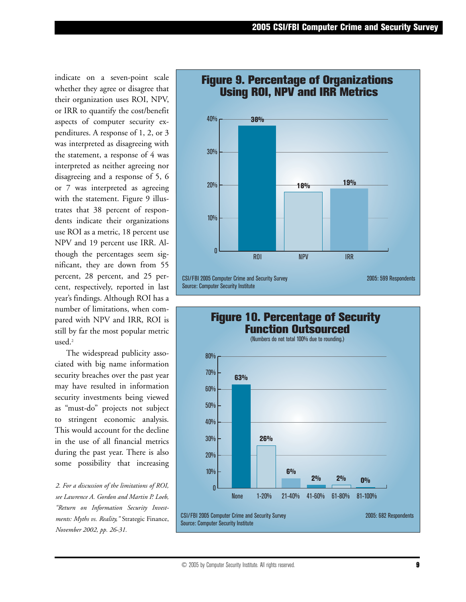indicate on a seven-point scale whether they agree or disagree that their organization uses ROI, NPV, or IRR to quantify the cost/benefit aspects of computer security expenditures. A response of 1, 2, or 3 was interpreted as disagreeing with the statement, a response of 4 was interpreted as neither agreeing nor disagreeing and a response of 5, 6 or 7 was interpreted as agreeing with the statement. Figure 9 illustrates that 38 percent of respondents indicate their organizations use ROI as a metric, 18 percent use NPV and 19 percent use IRR. Although the percentages seem significant, they are down from 55 percent, 28 percent, and 25 percent, respectively, reported in last year's findings. Although ROI has a number of limitations, when compared with NPV and IRR, ROI is still by far the most popular metric used.<sup>2</sup>

The widespread publicity associated with big name information security breaches over the past year may have resulted in information security investments being viewed as "must-do" projects not subject to stringent economic analysis. This would account for the decline in the use of all financial metrics during the past year. There is also some possibility that increasing

*2. For a discussion of the limitations of ROI, see Lawrence A. Gordon and Martin P. Loeb, "Return on Information Security Investments: Myths vs. Reality,"* Strategic Finance, *November 2002, pp. 26-31.*



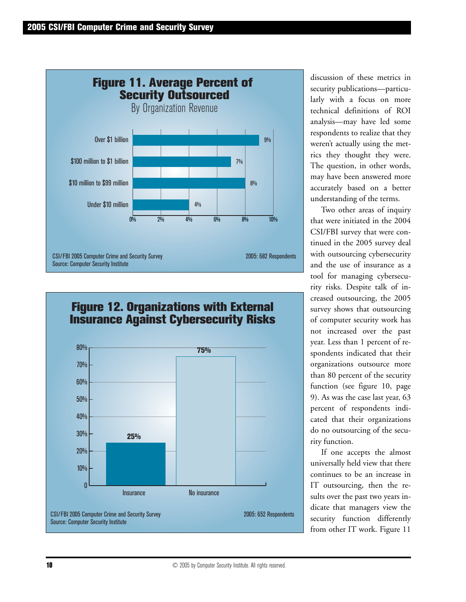

#### **Figure 12. Organizations with External Insurance Against Cybersecurity Risks**



discussion of these metrics in security publications—particularly with a focus on more technical definitions of ROI analysis—may have led some respondents to realize that they weren't actually using the metrics they thought they were. The question, in other words, may have been answered more accurately based on a better understanding of the terms.

Two other areas of inquiry that were initiated in the 2004 CSI/FBI survey that were continued in the 2005 survey deal with outsourcing cybersecurity and the use of insurance as a tool for managing cybersecurity risks. Despite talk of increased outsourcing, the 2005 survey shows that outsourcing of computer security work has not increased over the past year. Less than 1 percent of respondents indicated that their organizations outsource more than 80 percent of the security function (see figure 10, page 9). As was the case last year, 63 percent of respondents indicated that their organizations do no outsourcing of the security function.

If one accepts the almost universally held view that there continues to be an increase in IT outsourcing, then the results over the past two years indicate that managers view the security function differently from other IT work. Figure 11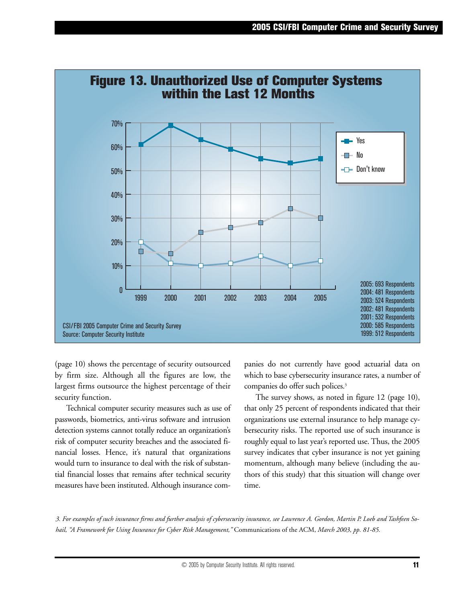

(page 10) shows the percentage of security outsourced by firm size. Although all the figures are low, the largest firms outsource the highest percentage of their security function.

Technical computer security measures such as use of passwords, biometrics, anti-virus software and intrusion detection systems cannot totally reduce an organization's risk of computer security breaches and the associated financial losses. Hence, it's natural that organizations would turn to insurance to deal with the risk of substantial financial losses that remains after technical security measures have been instituted. Although insurance com-

panies do not currently have good actuarial data on which to base cybersecurity insurance rates, a number of companies do offer such polices.<sup>3</sup>

The survey shows, as noted in figure 12 (page 10), that only 25 percent of respondents indicated that their organizations use external insurance to help manage cybersecurity risks. The reported use of such insurance is roughly equal to last year's reported use. Thus, the 2005 survey indicates that cyber insurance is not yet gaining momentum, although many believe (including the authors of this study) that this situation will change over time.

*3. For examples of such insurance firms and further analysis of cybersecurity insurance, see Lawrence A. Gordon, Martin P. Loeb and Tashfeen Sohail, "A Framework for Using Insurance for Cyber Risk Management,"* Communications of the ACM, *March 2003, pp. 81-85.*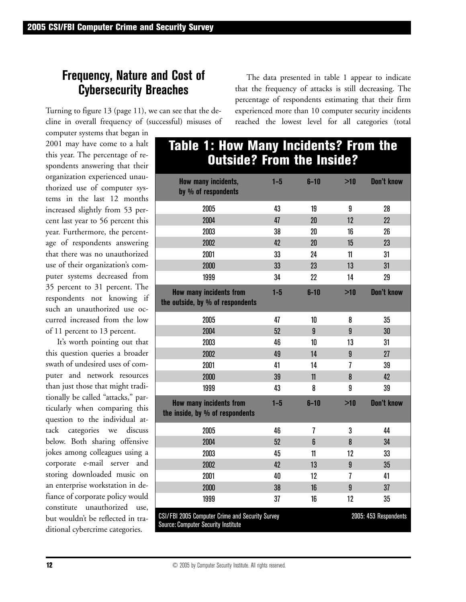#### **Frequency, Nature and Cost of Cybersecurity Breaches**

Turning to figure 13 (page 11), we can see that the decline in overall frequency of (successful) misuses of

computer systems that began in 2001 may have come to a halt this year. The percentage of respondents answering that their organization experienced unauthorized use of computer systems in the last 12 months increased slightly from 53 percent last year to 56 percent this year. Furthermore, the percentage of respondents answering that there was no unauthorized use of their organization's computer systems decreased from 35 percent to 31 percent. The respondents not knowing if such an unauthorized use occurred increased from the low of 11 percent to 13 percent.

It's worth pointing out that this question queries a broader swath of undesired uses of computer and network resources than just those that might traditionally be called "attacks," particularly when comparing this question to the individual attack categories we discuss below. Both sharing offensive jokes among colleagues using a corporate e-mail server and storing downloaded music on an enterprise workstation in defiance of corporate policy would constitute unauthorized use, but wouldn't be reflected in traditional cybercrime categories.

The data presented in table 1 appear to indicate that the frequency of attacks is still decreasing. The percentage of respondents estimating that their firm experienced more than 10 computer security incidents reached the lowest level for all categories (total

#### **Table 1: How Many Incidents? From the Outside? From the Inside?**

| How many incidents,<br>by % of respondents                                                    | $1-5$ | $6 - 10$       | $>10$          | <b>Don't know</b>     |
|-----------------------------------------------------------------------------------------------|-------|----------------|----------------|-----------------------|
| 2005                                                                                          | 43    | 19             | 9              | 28                    |
| 2004                                                                                          | 47    | 20             | 12             | 22                    |
| 2003                                                                                          | 38    | 20             | 16             | 26                    |
| 2002                                                                                          | 42    | 20             | 15             | 23                    |
| 2001                                                                                          | 33    | 24             | 11             | 31                    |
| 2000                                                                                          | 33    | 23             | 13             | 31                    |
| 1999                                                                                          | 34    | 22             | 14             | 29                    |
| <b>How many incidents from</b><br>the outside, by % of respondents                            | $1-5$ | $6 - 10$       | $>10$          | <b>Don't know</b>     |
| 2005                                                                                          | 47    | 10             | 8              | 35                    |
| 2004                                                                                          | 52    | 9              | 9              | 30                    |
| 2003                                                                                          | 46    | 10             | 13             | 31                    |
| 2002                                                                                          | 49    | 14             | 9              | 27                    |
| 2001                                                                                          | 41    | 14             | 7              | 39                    |
| 2000                                                                                          | 39    | 11             | 8              | 42                    |
| 1999                                                                                          | 43    | 8              | 9              | 39                    |
| <b>How many incidents from</b><br>the inside, by % of respondents                             | $1-5$ | $6 - 10$       | $>10$          | <b>Don't know</b>     |
| 2005                                                                                          | 46    | $\overline{1}$ | 3              | 44                    |
| 2004                                                                                          | 52    | 6              | 8              | 34                    |
| 2003                                                                                          | 45    | 11             | 12             | 33                    |
| 2002                                                                                          | 42    | 13             | 9              | 35                    |
| 2001                                                                                          | 40    | 12             | $\overline{1}$ | 41                    |
| 2000                                                                                          | 38    | 16             | 9              | 37                    |
| 1999                                                                                          | 37    | 16             | 12             | 35                    |
| CSI/FBI 2005 Computer Crime and Security Survey<br><b>Source: Computer Security Institute</b> |       |                |                | 2005: 453 Respondents |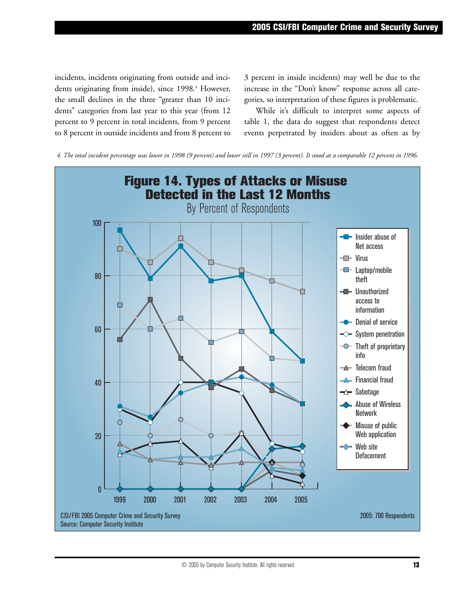incidents, incidents originating from outside and incidents originating from inside), since 1998.<sup>4</sup> However, the small declines in the three "greater than 10 incidents" categories from last year to this year (from 12 percent to 9 percent in total incidents, from 9 percent to 8 percent in outside incidents and from 8 percent to

3 percent in inside incidents) may well be due to the increase in the "Don't know" response across all categories, so interpretation of these figures is problematic.

While it's difficult to interpret some aspects of table 1, the data do suggest that respondents detect events perpetrated by insiders about as often as by

*4. The total incident percentage was lower in 1998 (9 percent) and lower still in 1997 (3 percent). It stood at a comparable 12 percent in 1996.*

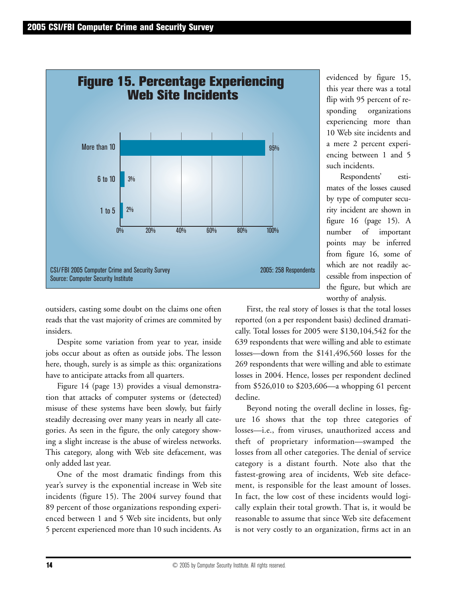

outsiders, casting some doubt on the claims one often reads that the vast majority of crimes are commited by insiders.

Despite some variation from year to year, inside jobs occur about as often as outside jobs. The lesson here, though, surely is as simple as this: organizations have to anticipate attacks from all quarters.

Figure 14 (page 13) provides a visual demonstration that attacks of computer systems or (detected) misuse of these systems have been slowly, but fairly steadily decreasing over many years in nearly all categories. As seen in the figure, the only category showing a slight increase is the abuse of wireless networks. This category, along with Web site defacement, was only added last year.

One of the most dramatic findings from this year's survey is the exponential increase in Web site incidents (figure 15). The 2004 survey found that 89 percent of those organizations responding experienced between 1 and 5 Web site incidents, but only 5 percent experienced more than 10 such incidents. As

evidenced by figure 15, this year there was a total flip with 95 percent of responding organizations experiencing more than 10 Web site incidents and a mere 2 percent experiencing between 1 and 5 such incidents.

Respondents' estimates of the losses caused by type of computer security incident are shown in figure 16 (page 15). A number of important points may be inferred from figure 16, some of which are not readily accessible from inspection of the figure, but which are worthy of analysis.

First, the real story of losses is that the total losses reported (on a per respondent basis) declined dramatically. Total losses for 2005 were \$130,104,542 for the 639 respondents that were willing and able to estimate losses—down from the \$141,496,560 losses for the 269 respondents that were willing and able to estimate losses in 2004. Hence, losses per respondent declined from \$526,010 to \$203,606—a whopping 61 percent decline.

Beyond noting the overall decline in losses, figure 16 shows that the top three categories of losses—i.e., from viruses, unauthorized access and theft of proprietary information—swamped the losses from all other categories. The denial of service category is a distant fourth. Note also that the fastest-growing area of incidents, Web site defacement, is responsible for the least amount of losses. In fact, the low cost of these incidents would logically explain their total growth. That is, it would be reasonable to assume that since Web site defacement is not very costly to an organization, firms act in an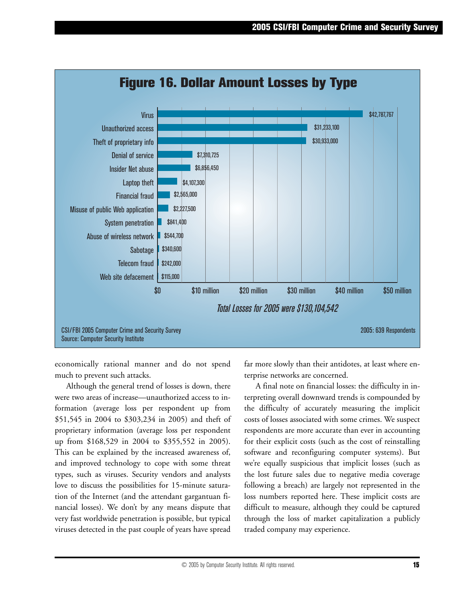

economically rational manner and do not spend much to prevent such attacks.

Although the general trend of losses is down, there were two areas of increase—unauthorized access to information (average loss per respondent up from \$51,545 in 2004 to \$303,234 in 2005) and theft of proprietary information (average loss per respondent up from \$168,529 in 2004 to \$355,552 in 2005). This can be explained by the increased awareness of, and improved technology to cope with some threat types, such as viruses. Security vendors and analysts love to discuss the possibilities for 15-minute saturation of the Internet (and the attendant gargantuan financial losses). We don't by any means dispute that very fast worldwide penetration is possible, but typical viruses detected in the past couple of years have spread far more slowly than their antidotes, at least where enterprise networks are concerned.

A final note on financial losses: the difficulty in interpreting overall downward trends is compounded by the difficulty of accurately measuring the implicit costs of losses associated with some crimes. We suspect respondents are more accurate than ever in accounting for their explicit costs (such as the cost of reinstalling software and reconfiguring computer systems). But we're equally suspicious that implicit losses (such as the lost future sales due to negative media coverage following a breach) are largely not represented in the loss numbers reported here. These implicit costs are difficult to measure, although they could be captured through the loss of market capitalization a publicly traded company may experience.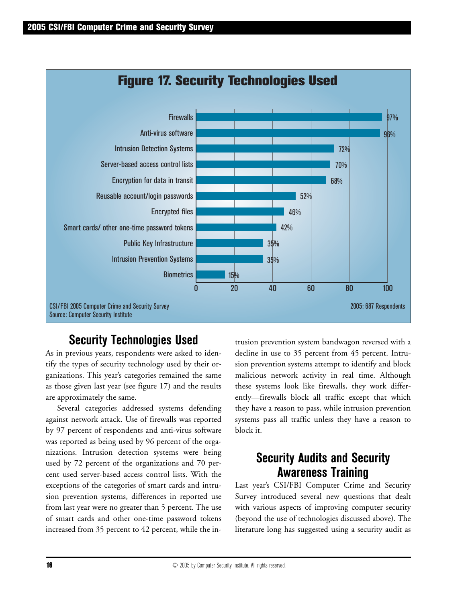

#### **Security Technologies Used**

As in previous years, respondents were asked to identify the types of security technology used by their organizations. This year's categories remained the same as those given last year (see figure 17) and the results are approximately the same.

Several categories addressed systems defending against network attack. Use of firewalls was reported by 97 percent of respondents and anti-virus software was reported as being used by 96 percent of the organizations. Intrusion detection systems were being used by 72 percent of the organizations and 70 percent used server-based access control lists. With the exceptions of the categories of smart cards and intrusion prevention systems, differences in reported use from last year were no greater than 5 percent. The use of smart cards and other one-time password tokens increased from 35 percent to 42 percent, while the in-

trusion prevention system bandwagon reversed with a decline in use to 35 percent from 45 percent. Intrusion prevention systems attempt to identify and block malicious network activity in real time. Although these systems look like firewalls, they work differently—firewalls block all traffic except that which they have a reason to pass, while intrusion prevention systems pass all traffic unless they have a reason to block it.

#### **Security Audits and Security Awareness Training**

Last year's CSI/FBI Computer Crime and Security Survey introduced several new questions that dealt with various aspects of improving computer security (beyond the use of technologies discussed above). The literature long has suggested using a security audit as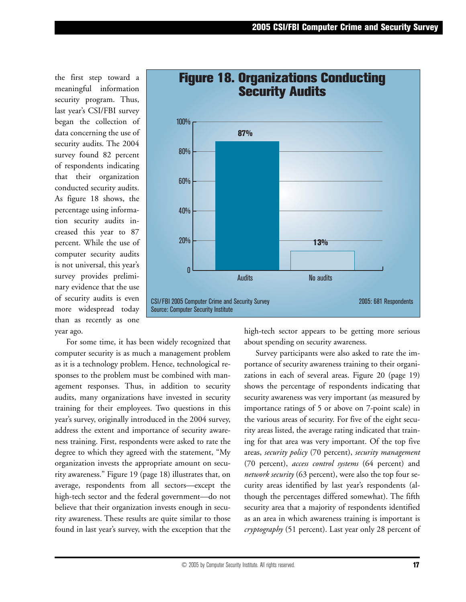the first step toward a meaningful information security program. Thus, last year's CSI/FBI survey began the collection of data concerning the use of security audits. The 2004 survey found 82 percent of respondents indicating that their organization conducted security audits. As figure 18 shows, the percentage using information security audits increased this year to 87 percent. While the use of computer security audits is not universal, this year's survey provides preliminary evidence that the use of security audits is even more widespread today than as recently as one year ago.



For some time, it has been widely recognized that computer security is as much a management problem as it is a technology problem. Hence, technological responses to the problem must be combined with management responses. Thus, in addition to security audits, many organizations have invested in security training for their employees. Two questions in this year's survey, originally introduced in the 2004 survey, address the extent and importance of security awareness training. First, respondents were asked to rate the degree to which they agreed with the statement, "My organization invests the appropriate amount on security awareness." Figure 19 (page 18) illustrates that, on average, respondents from all sectors—except the high-tech sector and the federal government—do not believe that their organization invests enough in security awareness. These results are quite similar to those found in last year's survey, with the exception that the high-tech sector appears to be getting more serious about spending on security awareness.

Survey participants were also asked to rate the importance of security awareness training to their organizations in each of several areas. Figure 20 (page 19) shows the percentage of respondents indicating that security awareness was very important (as measured by importance ratings of 5 or above on 7-point scale) in the various areas of security. For five of the eight security areas listed, the average rating indicated that training for that area was very important. Of the top five areas, *security policy* (70 percent), *security management* (70 percent), *access control systems* (64 percent) and *network security* (63 percent), were also the top four security areas identified by last year's respondents (although the percentages differed somewhat). The fifth security area that a majority of respondents identified as an area in which awareness training is important is *cryptography* (51 percent). Last year only 28 percent of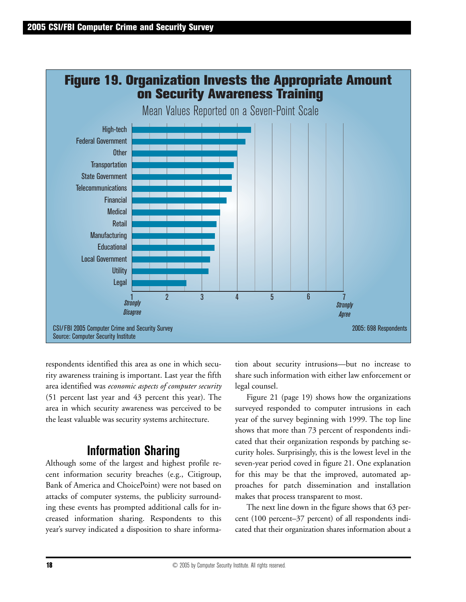

respondents identified this area as one in which security awareness training is important. Last year the fifth area identified was *economic aspects of computer security* (51 percent last year and 43 percent this year). The area in which security awareness was perceived to be the least valuable was security systems architecture.

#### **Information Sharing**

Although some of the largest and highest profile recent information security breaches (e.g., Citigroup, Bank of America and ChoicePoint) were not based on attacks of computer systems, the publicity surrounding these events has prompted additional calls for increased information sharing. Respondents to this year's survey indicated a disposition to share informa-

tion about security intrusions—but no increase to share such information with either law enforcement or legal counsel.

Figure 21 (page 19) shows how the organizations surveyed responded to computer intrusions in each year of the survey beginning with 1999. The top line shows that more than 73 percent of respondents indicated that their organization responds by patching security holes. Surprisingly, this is the lowest level in the seven-year period coved in figure 21. One explanation for this may be that the improved, automated approaches for patch dissemination and installation makes that process transparent to most.

The next line down in the figure shows that 63 percent (100 percent–37 percent) of all respondents indicated that their organization shares information about a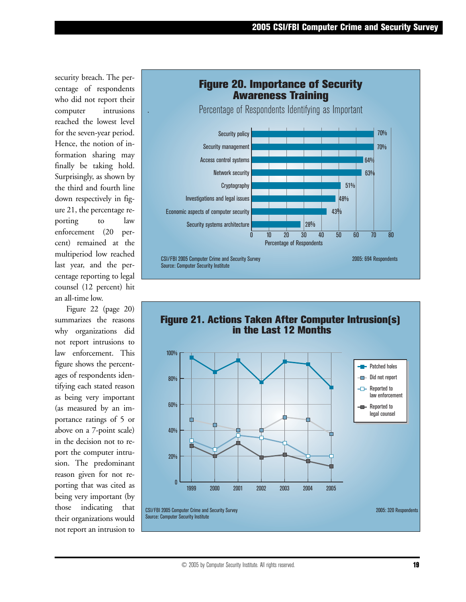security breach. The percentage of respondents who did not report their computer intrusions reached the lowest level for the seven-year period. Hence, the notion of information sharing may finally be taking hold. Surprisingly, as shown by the third and fourth line down respectively in figure 21, the percentage reporting to law enforcement (20 percent) remained at the multiperiod low reached last year, and the percentage reporting to legal counsel (12 percent) hit an all-time low.

Figure 22 (page 20) summarizes the reasons why organizations did not report intrusions to law enforcement. This figure shows the percentages of respondents identifying each stated reason as being very important (as measured by an importance ratings of 5 or above on a 7-point scale) in the decision not to report the computer intrusion. The predominant reason given for not reporting that was cited as being very important (by those indicating that their organizations would not report an intrusion to



#### **Figure 21. Actions Taken After Computer Intrusion(s) in the Last 12 Months**

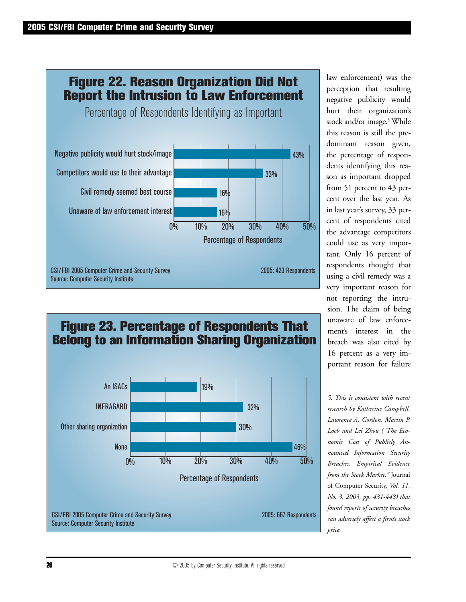

Percentage of Respondents Identifying as Important







law enforcement) was the perception that resulting negative publicity would hurt their organization's stock and/or image.<sup>5</sup> While this reason is still the predominant reason given, the percentage of respondents identifying this reason as important dropped from 51 percent to 43 percent over the last year. As in last year's survey, 33 percent of respondents cited the advantage competitors could use as very important. Only 16 percent of respondents thought that using a civil remedy was a very important reason for not reporting the intrusion. The claim of being unaware of law enforcement's interest in the breach was also cited by 16 percent as a very important reason for failure

*5. This is consistent with recent research by Katherine Campbell, Lawrence A. Gordon, Martin P. Loeb and Lei Zhou ("The Economic Cost of Publicly Announced Information Security Breaches: Empirical Evidence from the Stock Market,"* Journal of Computer Security, *Vol. 11, No. 3, 2003, pp. 431-448) that found reports of security breaches can adversely affect a firm's stock price.*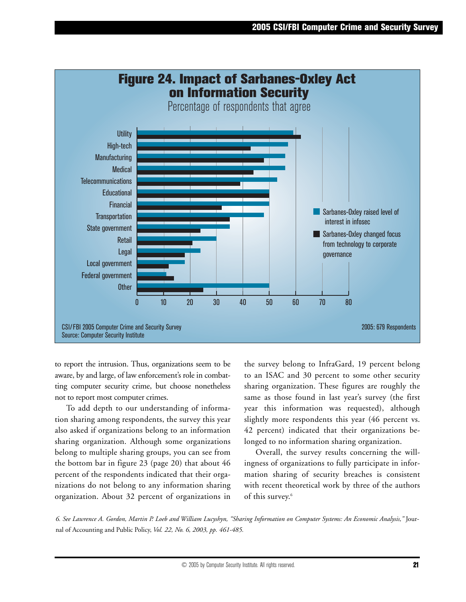

to report the intrusion. Thus, organizations seem to be aware, by and large, of law enforcement's role in combatting computer security crime, but choose nonetheless not to report most computer crimes.

To add depth to our understanding of information sharing among respondents, the survey this year also asked if organizations belong to an information sharing organization. Although some organizations belong to multiple sharing groups, you can see from the bottom bar in figure 23 (page 20) that about 46 percent of the respondents indicated that their organizations do not belong to any information sharing organization. About 32 percent of organizations in

the survey belong to InfraGard, 19 percent belong to an ISAC and 30 percent to some other security sharing organization. These figures are roughly the same as those found in last year's survey (the first year this information was requested), although slightly more respondents this year (46 percent vs. 42 percent) indicated that their organizations belonged to no information sharing organization.

Overall, the survey results concerning the willingness of organizations to fully participate in information sharing of security breaches is consistent with recent theoretical work by three of the authors of this survey.<sup>6</sup>

*6. See Lawrence A. Gordon, Martin P. Loeb and William Lucyshyn, "Sharing Information on Computer Systems: An Economic Analysis,"* Journal of Accounting and Public Policy, *Vol. 22, No. 6, 2003, pp. 461-485.*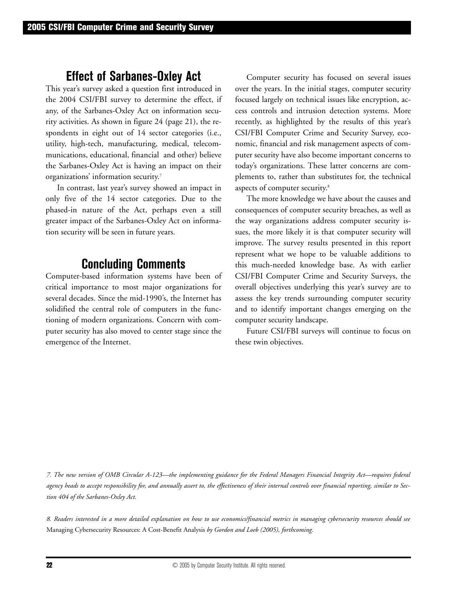#### **Effect of Sarbanes-Oxley Act**

This year's survey asked a question first introduced in the 2004 CSI/FBI survey to determine the effect, if any, of the Sarbanes-Oxley Act on information security activities. As shown in figure 24 (page 21), the respondents in eight out of 14 sector categories (i.e., utility, high-tech, manufacturing, medical, telecommunications, educational, financial and other) believe the Sarbanes-Oxley Act is having an impact on their organizations' information security.7

In contrast, last year's survey showed an impact in only five of the 14 sector categories. Due to the phased-in nature of the Act, perhaps even a still greater impact of the Sarbanes-Oxley Act on information security will be seen in future years.

#### **Concluding Comments**

Computer-based information systems have been of critical importance to most major organizations for several decades. Since the mid-1990's, the Internet has solidified the central role of computers in the functioning of modern organizations. Concern with computer security has also moved to center stage since the emergence of the Internet.

Computer security has focused on several issues over the years. In the initial stages, computer security focused largely on technical issues like encryption, access controls and intrusion detection systems. More recently, as highlighted by the results of this year's CSI/FBI Computer Crime and Security Survey, economic, financial and risk management aspects of computer security have also become important concerns to today's organizations. These latter concerns are complements to, rather than substitutes for, the technical aspects of computer security.8

The more knowledge we have about the causes and consequences of computer security breaches, as well as the way organizations address computer security issues, the more likely it is that computer security will improve. The survey results presented in this report represent what we hope to be valuable additions to this much-needed knowledge base. As with earlier CSI/FBI Computer Crime and Security Surveys, the overall objectives underlying this year's survey are to assess the key trends surrounding computer security and to identify important changes emerging on the computer security landscape.

Future CSI/FBI surveys will continue to focus on these twin objectives.

*7. The new version of OMB Circular A-123—the implementing guidance for the Federal Managers Financial Integrity Act—requires federal agency heads to accept responsibility for, and annually assert to, the effectiveness of their internal controls over financial reporting, similar to Section 404 of the Sarbanes-Oxley Act.*

*8. Readers interested in a more detailed explanation on how to use economics/financial metrics in managing cybersecurity resources should see* Managing Cybersecurity Resources: A Cost-Benefit Analysis *by Gordon and Loeb (2005), forthcoming.*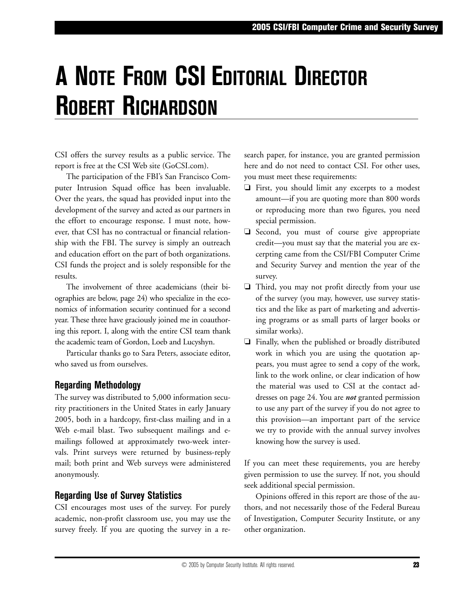### **A NOTE FROM CSI EDITORIAL DIRECTOR ROBERT RICHARDSON**

CSI offers the survey results as a public service. The report is free at the CSI Web site (GoCSI.com).

The participation of the FBI's San Francisco Computer Intrusion Squad office has been invaluable. Over the years, the squad has provided input into the development of the survey and acted as our partners in the effort to encourage response. I must note, however, that CSI has no contractual or financial relationship with the FBI. The survey is simply an outreach and education effort on the part of both organizations. CSI funds the project and is solely responsible for the results.

The involvement of three academicians (their biographies are below, page 24) who specialize in the economics of information security continued for a second year. These three have graciously joined me in coauthoring this report. I, along with the entire CSI team thank the academic team of Gordon, Loeb and Lucyshyn.

Particular thanks go to Sara Peters, associate editor, who saved us from ourselves.

#### **Regarding Methodology**

The survey was distributed to 5,000 information security practitioners in the United States in early January 2005, both in a hardcopy, first-class mailing and in a Web e-mail blast. Two subsequent mailings and emailings followed at approximately two-week intervals. Print surveys were returned by business-reply mail; both print and Web surveys were administered anonymously.

#### **Regarding Use of Survey Statistics**

CSI encourages most uses of the survey. For purely academic, non-profit classroom use, you may use the survey freely. If you are quoting the survey in a research paper, for instance, you are granted permission here and do not need to contact CSI. For other uses, you must meet these requirements:

- ❏ First, you should limit any excerpts to a modest amount—if you are quoting more than 800 words or reproducing more than two figures, you need special permission.
- ❏ Second, you must of course give appropriate credit—you must say that the material you are excerpting came from the CSI/FBI Computer Crime and Security Survey and mention the year of the survey.
- ❏ Third, you may not profit directly from your use of the survey (you may, however, use survey statistics and the like as part of marketing and advertising programs or as small parts of larger books or similar works).
- ❏ Finally, when the published or broadly distributed work in which you are using the quotation appears, you must agree to send a copy of the work, link to the work online, or clear indication of how the material was used to CSI at the contact addresses on page 24. You are *not* granted permission to use any part of the survey if you do not agree to this provision—an important part of the service we try to provide with the annual survey involves knowing how the survey is used.

If you can meet these requirements, you are hereby given permission to use the survey. If not, you should seek additional special permission.

Opinions offered in this report are those of the authors, and not necessarily those of the Federal Bureau of Investigation, Computer Security Institute, or any other organization.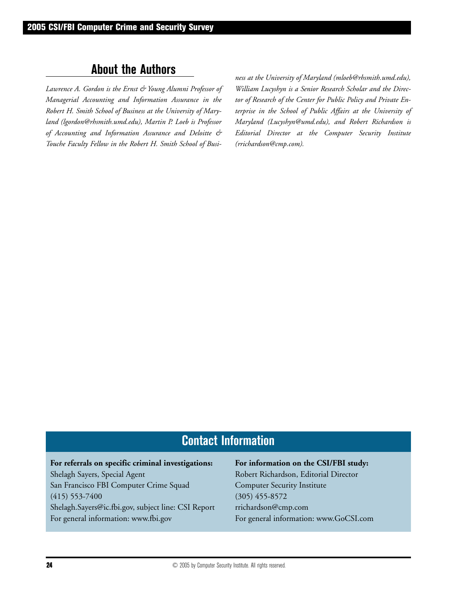#### **About the Authors**

*Lawrence A. Gordon is the Ernst & Young Alumni Professor of Managerial Accounting and Information Assurance in the Robert H. Smith School of Business at the University of Maryland (lgordon@rhsmith.umd.edu), Martin P. Loeb is Professor of Accounting and Information Assurance and Deloitte & Touche Faculty Fellow in the Robert H. Smith School of Busi-* *ness at the University of Maryland (mloeb@rhsmith.umd.edu), William Lucyshyn is a Senior Research Scholar and the Director of Research of the Center for Public Policy and Private Enterprise in the School of Public Affairs at the University of Maryland (Lucyshyn@umd.edu), and Robert Richardson is Editorial Director at the Computer Security Institute (rrichardson@cmp.com).* 

#### **Contact Information**

#### **For referrals on specific criminal investigations:**

Shelagh Sayers, Special Agent San Francisco FBI Computer Crime Squad (415) 553-7400 Shelagh.Sayers@ic.fbi.gov, subject line: CSI Report For general information: www.fbi.gov

#### **For information on the CSI/FBI study:** Robert Richardson, Editorial Director Computer Security Institute

(305) 455-8572 rrichardson@cmp.com For general information: www.GoCSI.com